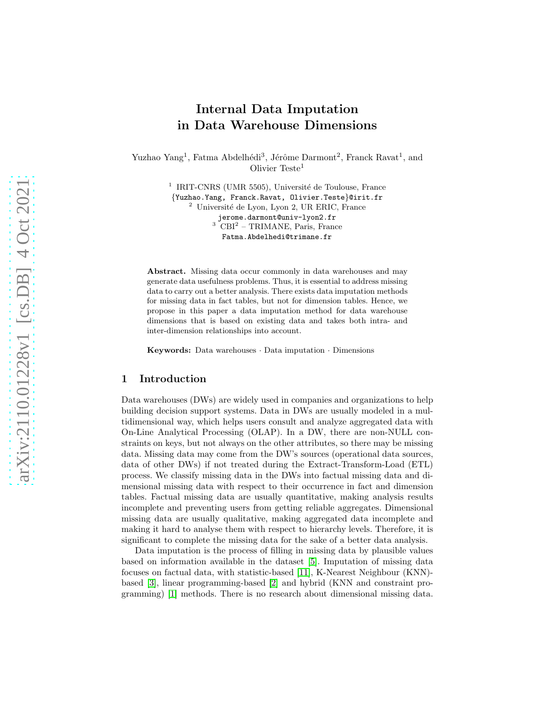# Internal Data Imputation in Data Warehouse Dimensions

Yuzhao Yang<sup>1</sup>, Fatma Abdelhédi<sup>3</sup>, Jérôme Darmont<sup>2</sup>, Franck Ravat<sup>1</sup>, and Olivier Teste<sup>1</sup>

> <sup>1</sup> IRIT-CNRS (UMR 5505), Université de Toulouse, France {Yuzhao.Yang, Franck.Ravat, Olivier.Teste}@irit.fr <sup>2</sup> Université de Lyon, Lyon 2, UR ERIC, France jerome.darmont@univ-lyon2.fr<br><sup>3</sup> CBI<sup>2</sup> - TRIMANE, Paris, France Fatma.Abdelhedi@trimane.fr

Abstract. Missing data occur commonly in data warehouses and may generate data usefulness problems. Thus, it is essential to address missing data to carry out a better analysis. There exists data imputation methods for missing data in fact tables, but not for dimension tables. Hence, we propose in this paper a data imputation method for data warehouse dimensions that is based on existing data and takes both intra- and inter-dimension relationships into account.

Keywords: Data warehouses · Data imputation · Dimensions

## 1 Introduction

Data warehouses (DWs) are widely used in companies and organizations to help building decision support systems. Data in DWs are usually modeled in a multidimensional way, which helps users consult and analyze aggregated data with On-Line Analytical Processing (OLAP). In a DW, there are non-NULL constraints on keys, but not always on the other attributes, so there may be missing data. Missing data may come from the DW's sources (operational data sources, data of other DWs) if not treated during the Extract-Transform-Load (ETL) process. We classify missing data in the DWs into factual missing data and dimensional missing data with respect to their occurrence in fact and dimension tables. Factual missing data are usually quantitative, making analysis results incomplete and preventing users from getting reliable aggregates. Dimensional missing data are usually qualitative, making aggregated data incomplete and making it hard to analyse them with respect to hierarchy levels. Therefore, it is significant to complete the missing data for the sake of a better data analysis.

Data imputation is the process of filling in missing data by plausible values based on information available in the dataset [\[5\]](#page-7-0). Imputation of missing data focuses on factual data, with statistic-based [\[11\]](#page-7-1), K-Nearest Neighbour (KNN) based [\[3\]](#page-7-2), linear programming-based [\[2\]](#page-7-3) and hybrid (KNN and constraint programming) [\[1\]](#page-7-4) methods. There is no research about dimensional missing data.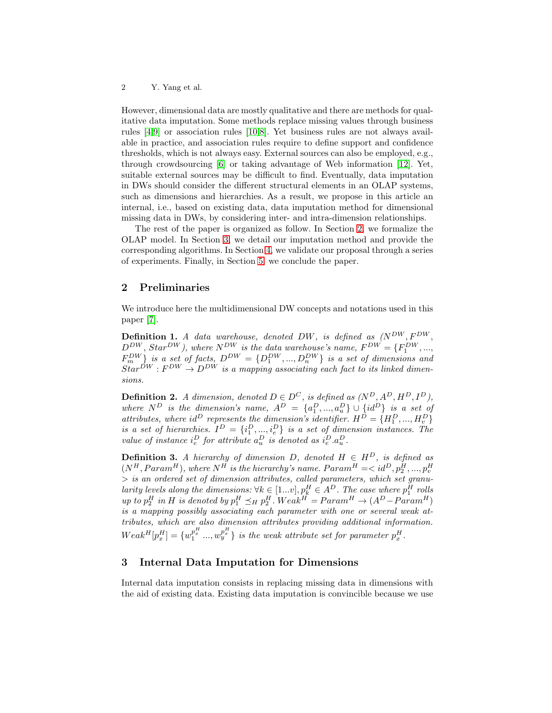However, dimensional data are mostly qualitative and there are methods for qualitative data imputation. Some methods replace missing values through business rules [\[4,](#page-7-5)[9\]](#page-7-6) or association rules [\[10](#page-7-7)[,8\]](#page-7-8). Yet business rules are not always available in practice, and association rules require to define support and confidence thresholds, which is not always easy. External sources can also be employed, e.g., through crowdsourcing [\[6\]](#page-7-9) or taking advantage of Web information [\[12\]](#page-7-10). Yet, suitable external sources may be difficult to find. Eventually, data imputation in DWs should consider the different structural elements in an OLAP systems, such as dimensions and hierarchies. As a result, we propose in this article an internal, i.e., based on existing data, data imputation method for dimensional missing data in DWs, by considering inter- and intra-dimension relationships.

The rest of the paper is organized as follow. In Section [2,](#page-1-0) we formalize the OLAP model. In Section [3,](#page-1-1) we detail our imputation method and provide the corresponding algorithms. In Section [4,](#page-3-0) we validate our proposal through a series of experiments. Finally, in Section [5,](#page-7-11) we conclude the paper.

## <span id="page-1-0"></span>2 Preliminaries

We introduce here the multidimensional DW concepts and notations used in this paper [\[7\]](#page-7-12).

**Definition 1.** A data warehouse, denoted DW, is defined as  $(N^{DW}, F^{DW},$  $D_{\text{out}}^{DW}$ ,  $Star^{DW}$ ), where  $N_{\text{out}}^{DW}$  is the data warehouse's name,  $F^{DW} = \{F_1^{DW}, ...,$  $F_m^{DW}$  is a set of facts,  $D^{DW} = \{D_1^{DW},...,D_n^{DW}\}\$ is a set of dimensions and  $Star^{DW}: F^{DW} \to D^{DW}$  is a mapping associating each fact to its linked dimensions.

**Definition 2.** A dimension, denoted  $D \in D^C$ , is defined as  $(N^D, A^D, H^D, I^D)$ , where  $N^D$  is the dimension's name,  $A^D = \{a_1^D, ..., a_u^D\} \cup \{id^D\}$  is a set of where  $N$  is the dimension's name,  $A = \{a_1, ..., a_u\} \cup \{a_i\}$  is a set of attributes, where  $id^D$  represents the dimension's identifier.  $H^D = \{H_1^D, ..., H_v^D\}$ is a set of hierarchies.  $I^D = \{i_1^D, ..., i_e^D\}$  is a set of dimension instances. The value of instance  $i_e^D$  for attribute  $a_u^D$  is denoted as  $i_e^D.a_u^D$ .

**Definition 3.** A hierarchy of dimension D, denoted  $H \in H^D$ , is defined as  $(N^H, Param^H)$ , where  $N^H$  is the hierarchy's name.  $Param^H =$  $>$  is an ordered set of dimension attributes, called parameters, which set granularity levels along the dimensions:  $\forall k \in [1...v], p_k^H \in A^D$ . The case where  $p_1^H$  rolls up to  $p_2^H$  in H is denoted by  $p_1^H \preceq_H p_2^H$ . Weak<sup>H</sup> =  $Param^H \rightarrow (A^D - Param^H)$ is a mapping possibly associating each parameter with one or several weak attributes, which are also dimension attributes providing additional information.  $Weak^H[p_x^H] = \{w_1^{p_x^H} ..., w_y^{p_x^H}\}\$ is the weak attribute set for parameter  $p_x^H$ .

# <span id="page-1-1"></span>3 Internal Data Imputation for Dimensions

Internal data imputation consists in replacing missing data in dimensions with the aid of existing data. Existing data imputation is convincible because we use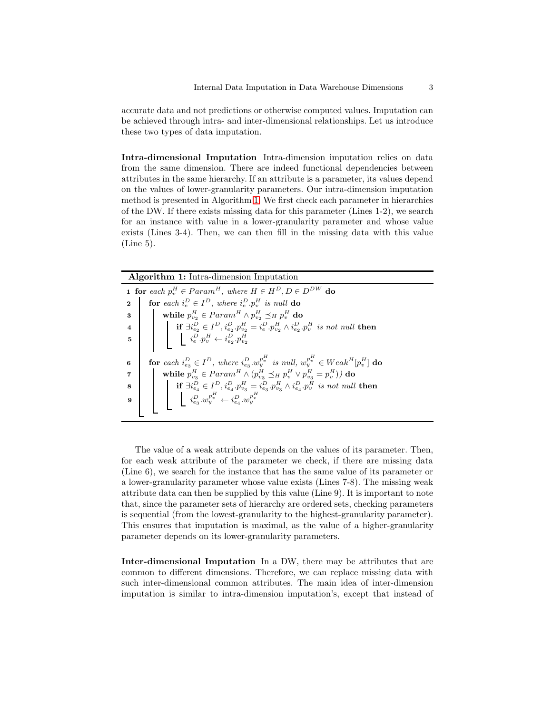accurate data and not predictions or otherwise computed values. Imputation can be achieved through intra- and inter-dimensional relationships. Let us introduce these two types of data imputation.

Intra-dimensional Imputation Intra-dimension imputation relies on data from the same dimension. There are indeed functional dependencies between attributes in the same hierarchy. If an attribute is a parameter, its values depend on the values of lower-granularity parameters. Our intra-dimension imputation method is presented in Algorithm [1.](#page-2-0) We first check each parameter in hierarchies of the DW. If there exists missing data for this parameter (Lines 1-2), we search for an instance with value in a lower-granularity parameter and whose value exists (Lines 3-4). Then, we can then fill in the missing data with this value (Line 5).

| <b>Algorithm 1:</b> Intra-dimension Imputation                                                                                              |
|---------------------------------------------------------------------------------------------------------------------------------------------|
| <b>1 for</b> each $p_n^H \in Param^H$ , where $H \in H^D$ , $D \in D^{DW}$ do                                                               |
| for each $i_e^D \in I^D$ , where $i_e^D \cdot p_v^H$ is null do<br>$\mathbf{2}$                                                             |
| while $p_{v_2}^H \in Param^H \wedge p_{v_2}^H \preceq_H p_v^H$ do<br>3                                                                      |
| if $\exists i_{e_2}^D \in I^D, i_{e_2}^D, p_{v_2}^H = i_e^D, p_{v_2}^H \wedge i_{e_2}^D, p_v^H$ is not null then<br>$\overline{\mathbf{4}}$ |
| $i_e^D \cdot p_v^H \leftarrow i_{e_2}^D \cdot p_{v_2}^H$<br>5                                                                               |
|                                                                                                                                             |
| for each $i_{e_2}^D \in I^D$ , where $i_{e_2}^D \cdot w_i^{p_i^H}$ is null, $w_i^{p_i^H} \in Weak^H[p_i^H]$ do<br>6                         |
| while $p_{v_3}^H \in Param^H \wedge (p_{v_3}^H \preceq_H p_v^H \vee p_{v_3}^H = p_v^H))$ do<br>7                                            |
| <b>if</b> $\exists i_{e_4}^D \in I^D$ , $i_{e_4}^D p_{v_3}^H = i_{e_3}^D p_{v_3}^H \wedge i_{e_4}^D p_v^H$ is not null then<br>8            |
| $\begin{array}{ c c } \hline &i_{e_3}^D.w_y^{p_v^H} \leftarrow i_{e_4}^D.w_y^{p_v^H} \end{array}$<br>9                                      |
|                                                                                                                                             |

<span id="page-2-0"></span>The value of a weak attribute depends on the values of its parameter. Then, for each weak attribute of the parameter we check, if there are missing data (Line 6), we search for the instance that has the same value of its parameter or a lower-granularity parameter whose value exists (Lines 7-8). The missing weak attribute data can then be supplied by this value (Line 9). It is important to note that, since the parameter sets of hierarchy are ordered sets, checking parameters is sequential (from the lowest-granularity to the highest-granularity parameter). This ensures that imputation is maximal, as the value of a higher-granularity parameter depends on its lower-granularity parameters.

Inter-dimensional Imputation In a DW, there may be attributes that are common to different dimensions. Therefore, we can replace missing data with such inter-dimensional common attributes. The main idea of inter-dimension imputation is similar to intra-dimension imputation's, except that instead of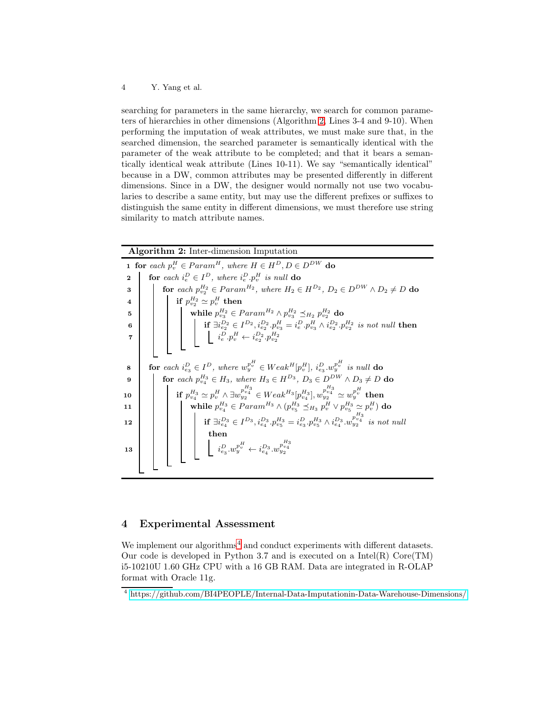searching for parameters in the same hierarchy, we search for common parameters of hierarchies in other dimensions (Algorithm [2,](#page-3-1) Lines 3-4 and 9-10). When performing the imputation of weak attributes, we must make sure that, in the searched dimension, the searched parameter is semantically identical with the parameter of the weak attribute to be completed; and that it bears a semantically identical weak attribute (Lines 10-11). We say "semantically identical" because in a DW, common attributes may be presented differently in different dimensions. Since in a DW, the designer would normally not use two vocabularies to describe a same entity, but may use the different prefixes or suffixes to distinguish the same entity in different dimensions, we must therefore use string similarity to match attribute names.

|              | <b>Algorithm 2:</b> Inter-dimension Imputation                                                                                                                                                                                                                                                                                                                                                 |
|--------------|------------------------------------------------------------------------------------------------------------------------------------------------------------------------------------------------------------------------------------------------------------------------------------------------------------------------------------------------------------------------------------------------|
|              | <b>1</b> for each $p_v^H \in Param^H$ , where $H \in H^D$ , $D \in D^{DW}$ do                                                                                                                                                                                                                                                                                                                  |
| $\mathbf{2}$ | for each $i_e^D \in I^D$ , where $i_e^D \cdot p_n^H$ is null do                                                                                                                                                                                                                                                                                                                                |
| 3            | for each $p_{v_2}^{H_2} \in Param^{H_2}$ , where $H_2 \in H^{D_2}$ , $D_2 \in D^{DW} \wedge D_2 \neq D$ do                                                                                                                                                                                                                                                                                     |
|              |                                                                                                                                                                                                                                                                                                                                                                                                |
|              |                                                                                                                                                                                                                                                                                                                                                                                                |
|              |                                                                                                                                                                                                                                                                                                                                                                                                |
|              |                                                                                                                                                                                                                                                                                                                                                                                                |
|              |                                                                                                                                                                                                                                                                                                                                                                                                |
|              |                                                                                                                                                                                                                                                                                                                                                                                                |
| 8            | for each $i_{e_2}^D \in I^D$ , where $w_v^{p_v^{H}} \in Weak^H[p_v^H], i_{e_2}^D w_v^{p_v^{H}}$ is null do                                                                                                                                                                                                                                                                                     |
| 9            | <b>for</b> each $p_{v_4}^{H_3} \in H_3$ , where $H_3 \in H^{D_3}$ , $D_3 \in D^{DW} \wedge D_3 \neq D$ do                                                                                                                                                                                                                                                                                      |
| 10           | if $p_{v_4}^{H_3} \simeq p_v^H \wedge \exists w_{y_2}^{p_{v_4}^{H_3}} \in Weak^{H_3}[p_{v_4}^{H_3}],$ $w_{y_2}^{p_{v_4}^{H_3}} \simeq w_y^{p_v^H}$ then                                                                                                                                                                                                                                        |
| 11           |                                                                                                                                                                                                                                                                                                                                                                                                |
| 12           |                                                                                                                                                                                                                                                                                                                                                                                                |
|              |                                                                                                                                                                                                                                                                                                                                                                                                |
| 13           | $\left\{\begin{array}{c} \text{while }p_{v_4}^{H_3} \in \textit{Param}^{H_3} \wedge (p_{v_5}^{H_3} \preceq_{H_3} p_v^{H} \vee p_{v_5}^{H_3} \simeq p_v^{H}) \text{ do} \\ \text{if } \exists i_{e_4}^{D_3} \in I^{D_3}, i_{e_4}^{D_3}, p_{v_5}^{H_3} = i_{e_3}^{D}, p_{v_5}^{H_3} \wedge i_{e_4}^{D_3}, w_{v_2}^{D_3} \quad \text{is not null} \\ \text{then} \\ \left[ \begin{array}{c} i_{e$ |
|              |                                                                                                                                                                                                                                                                                                                                                                                                |
|              |                                                                                                                                                                                                                                                                                                                                                                                                |

### <span id="page-3-1"></span><span id="page-3-0"></span>4 Experimental Assessment

We implement our algorithms<sup>[4](#page-3-2)</sup> and conduct experiments with different datasets. Our code is developed in Python 3.7 and is executed on a  $Intel(R)$  Core $(TM)$ i5-10210U 1.60 GHz CPU with a 16 GB RAM. Data are integrated in R-OLAP format with Oracle 11g.

<span id="page-3-2"></span><sup>4</sup> <https://github.com/BI4PEOPLE/Internal-Data-Imputationin-Data-Warehouse-Dimensions/>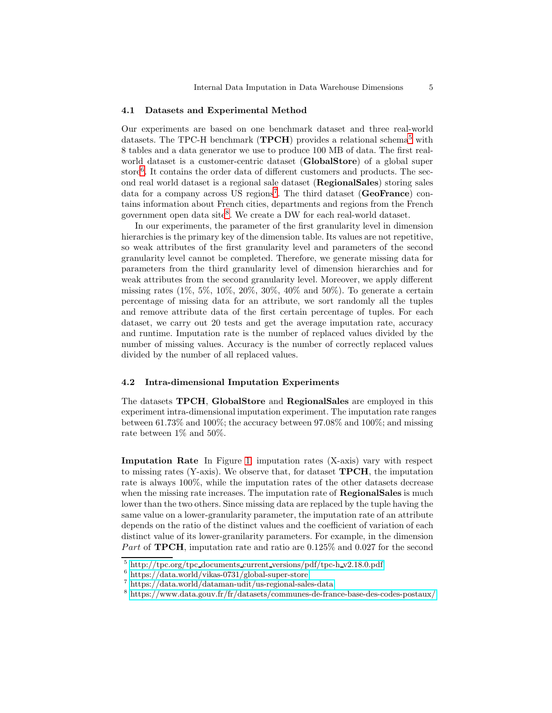#### 4.1 Datasets and Experimental Method

Our experiments are based on one benchmark dataset and three real-world datasets. The TPC-H benchmark ( $\textbf{TPCH}$ ) provides a relational schema<sup>[5](#page-4-0)</sup> with 8 tables and a data generator we use to produce 100 MB of data. The first realworld dataset is a customer-centric dataset (GlobalStore) of a global super store<sup>[6](#page-4-1)</sup>. It contains the order data of different customers and products. The second real world dataset is a regional sale dataset (RegionalSales) storing sales data for a company across US regions<sup>[7](#page-4-2)</sup>. The third dataset (GeoFrance) contains information about French cities, departments and regions from the French government open data site<sup>[8](#page-4-3)</sup>. We create a DW for each real-world dataset.

In our experiments, the parameter of the first granularity level in dimension hierarchies is the primary key of the dimension table. Its values are not repetitive, so weak attributes of the first granularity level and parameters of the second granularity level cannot be completed. Therefore, we generate missing data for parameters from the third granularity level of dimension hierarchies and for weak attributes from the second granularity level. Moreover, we apply different missing rates (1%, 5%, 10%, 20%, 30%, 40% and 50%). To generate a certain percentage of missing data for an attribute, we sort randomly all the tuples and remove attribute data of the first certain percentage of tuples. For each dataset, we carry out 20 tests and get the average imputation rate, accuracy and runtime. Imputation rate is the number of replaced values divided by the number of missing values. Accuracy is the number of correctly replaced values divided by the number of all replaced values.

#### 4.2 Intra-dimensional Imputation Experiments

The datasets TPCH, GlobalStore and RegionalSales are employed in this experiment intra-dimensional imputation experiment. The imputation rate ranges between 61.73% and 100%; the accuracy between 97.08% and 100%; and missing rate between 1% and 50%.

Imputation Rate In Figure [1,](#page-5-0) imputation rates (X-axis) vary with respect to missing rates  $(Y\text{-axis})$ . We observe that, for dataset **TPCH**, the imputation rate is always 100%, while the imputation rates of the other datasets decrease when the missing rate increases. The imputation rate of **RegionalSales** is much lower than the two others. Since missing data are replaced by the tuple having the same value on a lower-granularity parameter, the imputation rate of an attribute depends on the ratio of the distinct values and the coefficient of variation of each distinct value of its lower-granilarity parameters. For example, in the dimension Part of **TPCH**, imputation rate and ratio are  $0.125\%$  and  $0.027$  for the second

 $5 \text{ http://tpc.org/tpc.documents.current versions/pdf/tpc-h_v2.18.0.pdf}$  $5 \text{ http://tpc.org/tpc.documents.current versions/pdf/tpc-h_v2.18.0.pdf}$  $5 \text{ http://tpc.org/tpc.documents.current versions/pdf/tpc-h_v2.18.0.pdf}$ 

<span id="page-4-0"></span><sup>6</sup> <https://data.world/vikas-0731/global-super-store>

<span id="page-4-1"></span><sup>7</sup> <https://data.world/dataman-udit/us-regional-sales-data>

<span id="page-4-3"></span><span id="page-4-2"></span><sup>8</sup> <https://www.data.gouv.fr/fr/datasets/communes-de-france-base-des-codes-postaux/>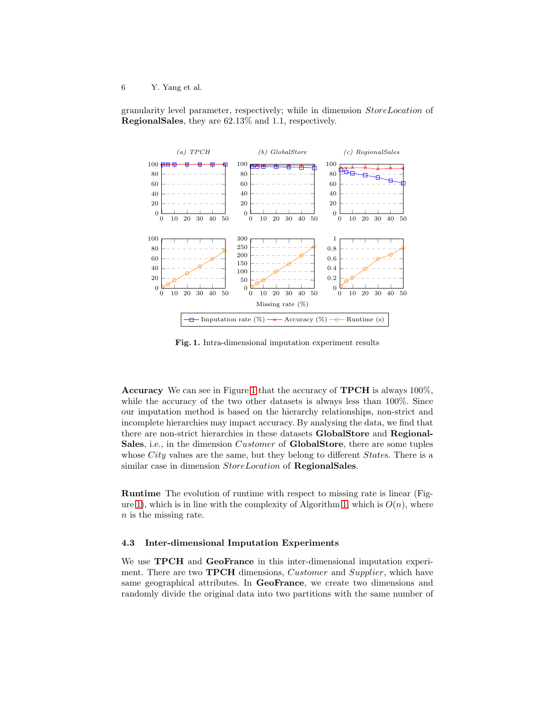granularity level parameter, respectively; while in dimension StoreLocation of RegionalSales, they are 62.13% and 1.1, respectively.



<span id="page-5-0"></span>Fig. 1. Intra-dimensional imputation experiment results

Accuracy We can see in Figure [1](#page-5-0) that the accuracy of TPCH is always 100%, while the accuracy of the two other datasets is always less than 100%. Since our imputation method is based on the hierarchy relationships, non-strict and incomplete hierarchies may impact accuracy. By analysing the data, we find that there are non-strict hierarchies in these datasets GlobalStore and Regional-Sales, i.e., in the dimension *Customer* of **GlobalStore**, there are some tuples whose *City* values are the same, but they belong to different *States*. There is a similar case in dimension  $StoreLocation$  of RegionalSales.

Runtime The evolution of runtime with respect to missing rate is linear (Fig-ure [1\)](#page-5-0), which is in line with the complexity of Algorithm [1,](#page-2-0) which is  $O(n)$ , where n is the missing rate.

#### 4.3 Inter-dimensional Imputation Experiments

We use **TPCH** and **GeoFrance** in this inter-dimensional imputation experiment. There are two **TPCH** dimensions, *Customer* and *Supplier*, which have same geographical attributes. In GeoFrance, we create two dimensions and randomly divide the original data into two partitions with the same number of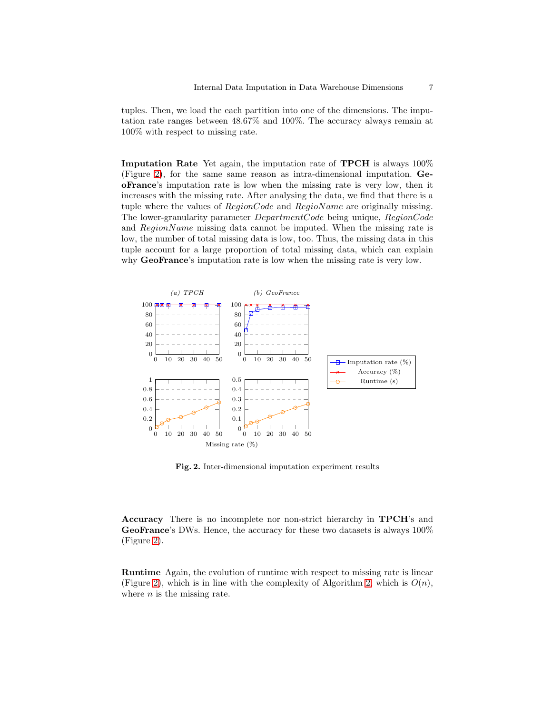tuples. Then, we load the each partition into one of the dimensions. The imputation rate ranges between 48.67% and 100%. The accuracy always remain at 100% with respect to missing rate.

Imputation Rate Yet again, the imputation rate of TPCH is always 100% (Figure [2\)](#page-6-0), for the same same reason as intra-dimensional imputation. GeoFrance's imputation rate is low when the missing rate is very low, then it increases with the missing rate. After analysing the data, we find that there is a tuple where the values of  $RegionCode$  and  $RegionName$  are originally missing. The lower-granularity parameter DepartmentCode being unique, RegionCode and  $RegionName$  missing data cannot be imputed. When the missing rate is low, the number of total missing data is low, too. Thus, the missing data in this tuple account for a large proportion of total missing data, which can explain why **GeoFrance**'s imputation rate is low when the missing rate is very low.



<span id="page-6-0"></span>Fig. 2. Inter-dimensional imputation experiment results

Accuracy There is no incomplete nor non-strict hierarchy in TPCH's and GeoFrance's DWs. Hence, the accuracy for these two datasets is always 100% (Figure [2\)](#page-6-0).

Runtime Again, the evolution of runtime with respect to missing rate is linear (Figure [2\)](#page-6-0), which is in line with the complexity of Algorithm [2,](#page-3-1) which is  $O(n)$ , where  $n$  is the missing rate.